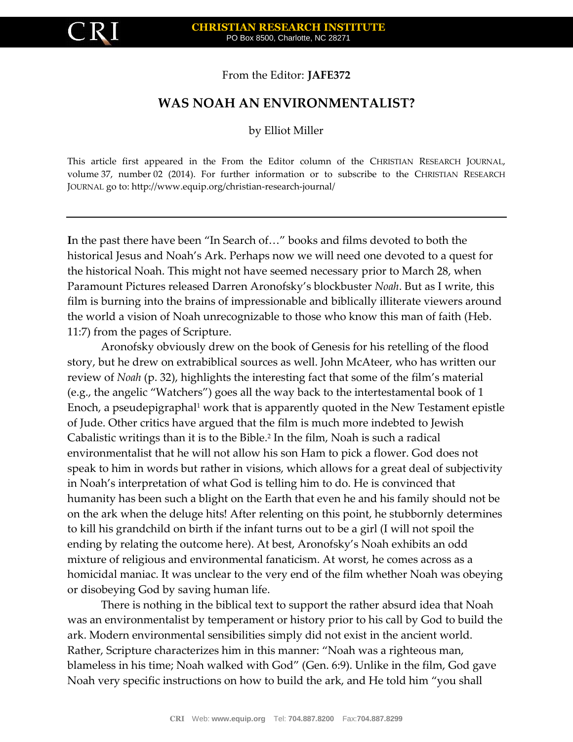From the Editor: **JAFE372**

## **WAS NOAH AN ENVIRONMENTALIST?**

by Elliot Miller

This article first appeared in the From the Editor column of the CHRISTIAN RESEARCH JOURNAL, volume 37, number 02 (2014). For further information or to subscribe to the CHRISTIAN RESEARCH JOURNAL go to: http://www.equip.org/christian-research-journal/

**I**n the past there have been "In Search of…" books and films devoted to both the historical Jesus and Noah's Ark. Perhaps now we will need one devoted to a quest for the historical Noah. This might not have seemed necessary prior to March 28, when Paramount Pictures released Darren Aronofsky's blockbuster *Noah*. But as I write, this film is burning into the brains of impressionable and biblically illiterate viewers around the world a vision of Noah unrecognizable to those who know this man of faith (Heb. 11:7) from the pages of Scripture.

Aronofsky obviously drew on the book of Genesis for his retelling of the flood story, but he drew on extrabiblical sources as well. John McAteer, who has written our review of *Noah* (p. 32), highlights the interesting fact that some of the film's material (e.g., the angelic "Watchers") goes all the way back to the intertestamental book of 1 Enoch, a pseudepigraphal<sup>1</sup> work that is apparently quoted in the New Testament epistle of Jude. Other critics have argued that the film is much more indebted to Jewish Cabalistic writings than it is to the Bible.<sup>2</sup> In the film, Noah is such a radical environmentalist that he will not allow his son Ham to pick a flower. God does not speak to him in words but rather in visions, which allows for a great deal of subjectivity in Noah's interpretation of what God is telling him to do. He is convinced that humanity has been such a blight on the Earth that even he and his family should not be on the ark when the deluge hits! After relenting on this point, he stubbornly determines to kill his grandchild on birth if the infant turns out to be a girl (I will not spoil the ending by relating the outcome here). At best, Aronofsky's Noah exhibits an odd mixture of religious and environmental fanaticism. At worst, he comes across as a homicidal maniac. It was unclear to the very end of the film whether Noah was obeying or disobeying God by saving human life.

There is nothing in the biblical text to support the rather absurd idea that Noah was an environmentalist by temperament or history prior to his call by God to build the ark. Modern environmental sensibilities simply did not exist in the ancient world. Rather, Scripture characterizes him in this manner: "Noah was a righteous man, blameless in his time; Noah walked with God" (Gen. 6:9). Unlike in the film, God gave Noah very specific instructions on how to build the ark, and He told him "you shall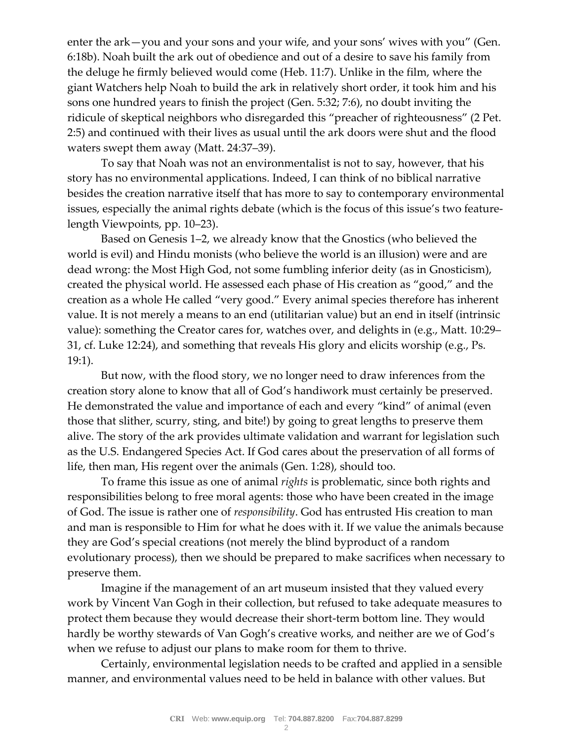enter the ark—you and your sons and your wife, and your sons' wives with you" (Gen. 6:18b). Noah built the ark out of obedience and out of a desire to save his family from the deluge he firmly believed would come (Heb. 11:7). Unlike in the film, where the giant Watchers help Noah to build the ark in relatively short order, it took him and his sons one hundred years to finish the project (Gen. 5:32; 7:6), no doubt inviting the ridicule of skeptical neighbors who disregarded this "preacher of righteousness" (2 Pet. 2:5) and continued with their lives as usual until the ark doors were shut and the flood waters swept them away (Matt. 24:37–39).

To say that Noah was not an environmentalist is not to say, however, that his story has no environmental applications. Indeed, I can think of no biblical narrative besides the creation narrative itself that has more to say to contemporary environmental issues, especially the animal rights debate (which is the focus of this issue's two featurelength Viewpoints, pp. 10–23).

Based on Genesis 1–2, we already know that the Gnostics (who believed the world is evil) and Hindu monists (who believe the world is an illusion) were and are dead wrong: the Most High God, not some fumbling inferior deity (as in Gnosticism), created the physical world. He assessed each phase of His creation as "good," and the creation as a whole He called "very good." Every animal species therefore has inherent value. It is not merely a means to an end (utilitarian value) but an end in itself (intrinsic value): something the Creator cares for, watches over, and delights in (e.g., Matt. 10:29– 31, cf. Luke 12:24), and something that reveals His glory and elicits worship (e.g., Ps. 19:1).

But now, with the flood story, we no longer need to draw inferences from the creation story alone to know that all of God's handiwork must certainly be preserved. He demonstrated the value and importance of each and every "kind" of animal (even those that slither, scurry, sting, and bite!) by going to great lengths to preserve them alive. The story of the ark provides ultimate validation and warrant for legislation such as the U.S. Endangered Species Act. If God cares about the preservation of all forms of life, then man, His regent over the animals (Gen. 1:28), should too.

To frame this issue as one of animal *rights* is problematic, since both rights and responsibilities belong to free moral agents: those who have been created in the image of God. The issue is rather one of *responsibility*. God has entrusted His creation to man and man is responsible to Him for what he does with it. If we value the animals because they are God's special creations (not merely the blind byproduct of a random evolutionary process), then we should be prepared to make sacrifices when necessary to preserve them.

Imagine if the management of an art museum insisted that they valued every work by Vincent Van Gogh in their collection, but refused to take adequate measures to protect them because they would decrease their short-term bottom line. They would hardly be worthy stewards of Van Gogh's creative works, and neither are we of God's when we refuse to adjust our plans to make room for them to thrive.

Certainly, environmental legislation needs to be crafted and applied in a sensible manner, and environmental values need to be held in balance with other values. But